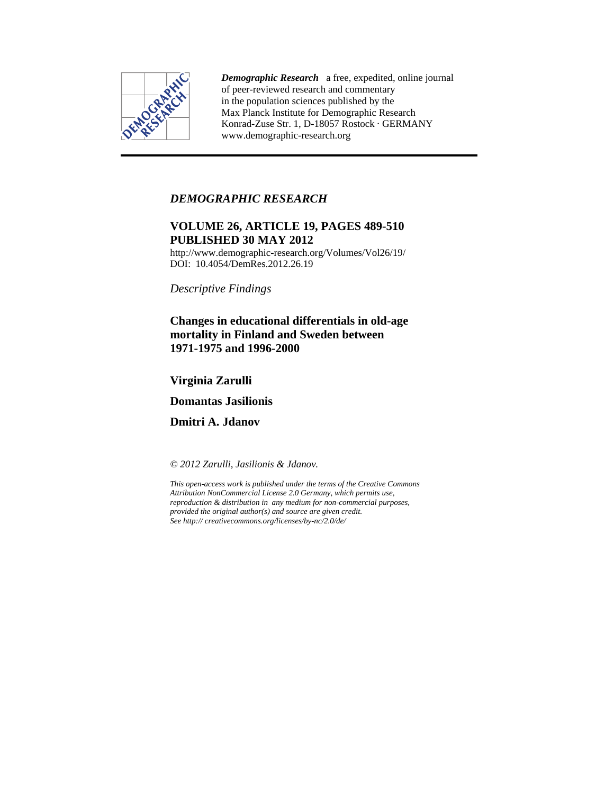

*Demographic Research* a free, expedited, online journal of peer-reviewed research and commentary in the population sciences published by the Max Planck Institute for Demographic Research Konrad-Zuse Str. 1, D-18057 Rostock · GERMANY www.demographic-research.org

# *DEMOGRAPHIC RESEARCH*

# **VOLUME 26, ARTICLE 19, PAGES 489-510 PUBLISHED 30 MAY 2012**

http://www.demographic-research.org/Volumes/Vol26/19/ DOI: 10.4054/DemRes.2012.26.19

*Descriptive Findings* 

# **Changes in educational differentials in old-age mortality in Finland and Sweden between 1971-1975 and 1996-2000**

# **Virginia Zarulli**

**Domantas Jasilionis** 

**Dmitri A. Jdanov** 

*© 2012 Zarulli, Jasilionis & Jdanov.* 

*This open-access work is published under the terms of the Creative Commons Attribution NonCommercial License 2.0 Germany, which permits use, reproduction & distribution in any medium for non-commercial purposes, provided the original author(s) and source are given credit. See http:// creativecommons.org/licenses/by-nc/2.0/de/*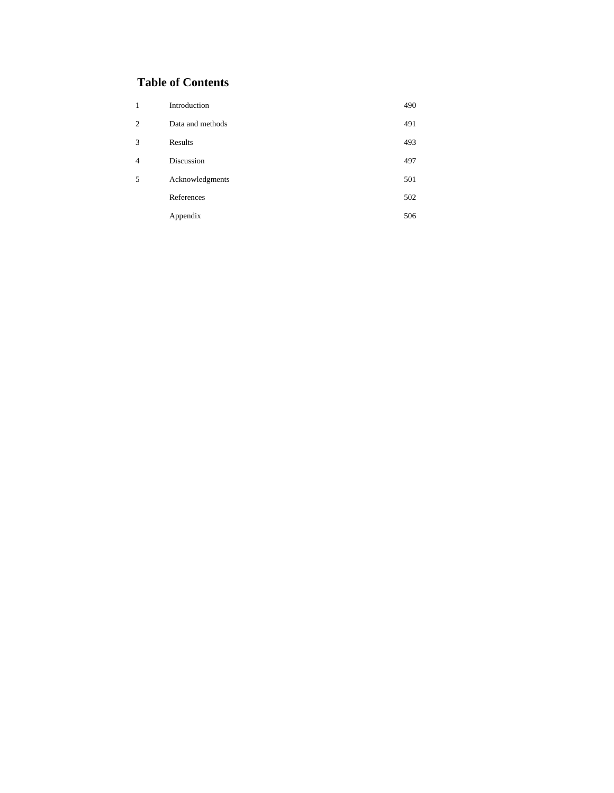# **Table of Contents**

| 1              | Introduction     | 490 |
|----------------|------------------|-----|
| $\overline{c}$ | Data and methods | 491 |
| 3              | Results          | 493 |
| $\overline{4}$ | Discussion       | 497 |
| 5              | Acknowledgments  | 501 |
|                | References       | 502 |
|                | Appendix         | 506 |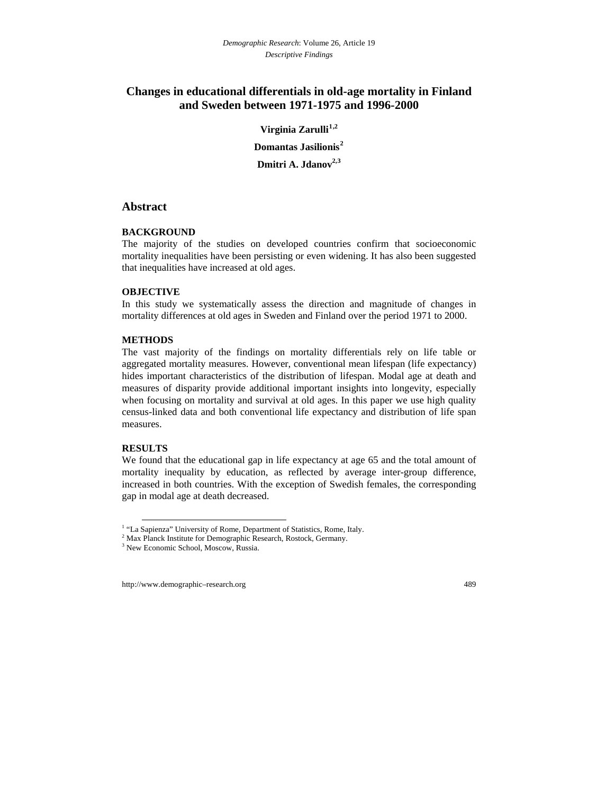# **Changes in educational differentials in old-age mortality in Finland and Sweden between 1971-1975 and 1996-2000**

**Virginia Zarulli[1](#page-2-0),2 Domantas Jasilionis[2](#page-2-1) Dmitri A. Jdanov2,[3](#page-2-2)**

# **Abstract**

### **BACKGROUND**

The majority of the studies on developed countries confirm that socioeconomic mortality inequalities have been persisting or even widening. It has also been suggested that inequalities have increased at old ages.

## **OBJECTIVE**

In this study we systematically assess the direction and magnitude of changes in mortality differences at old ages in Sweden and Finland over the period 1971 to 2000.

### **METHODS**

The vast majority of the findings on mortality differentials rely on life table or aggregated mortality measures. However, conventional mean lifespan (life expectancy) hides important characteristics of the distribution of lifespan. Modal age at death and measures of disparity provide additional important insights into longevity, especially when focusing on mortality and survival at old ages. In this paper we use high quality census-linked data and both conventional life expectancy and distribution of life span measures.

### **RESULTS**

l

We found that the educational gap in life expectancy at age 65 and the total amount of mortality inequality by education, as reflected by average inter-group difference, increased in both countries. With the exception of Swedish females, the corresponding gap in modal age at death decreased.

<sup>&</sup>lt;sup>1</sup> "La Sapienza" University of Rome, Department of Statistics, Rome, Italy.

 $^{2}$  Max Planck Institute for Demographic Research, Rostock, Germany.

<span id="page-2-2"></span><span id="page-2-1"></span><span id="page-2-0"></span><sup>&</sup>lt;sup>3</sup> New Economic School, Moscow, Russia.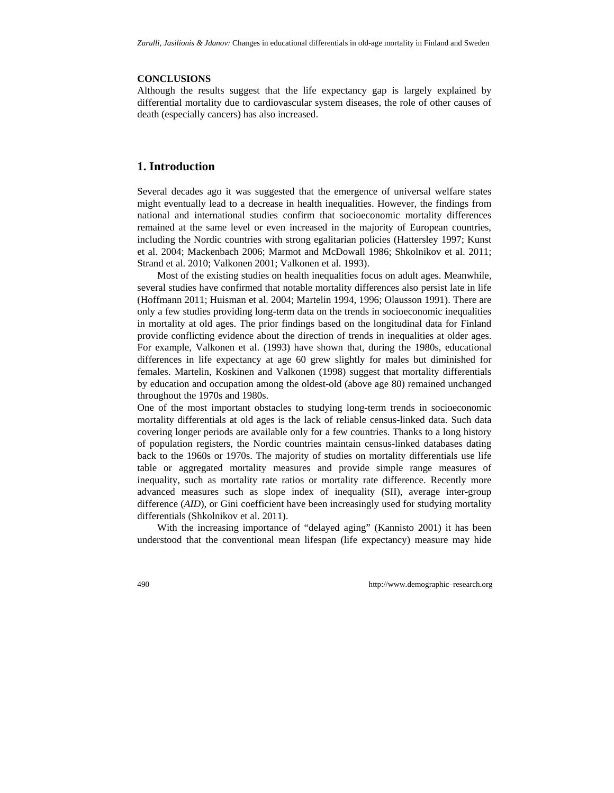### **CONCLUSIONS**

Although the results suggest that the life expectancy gap is largely explained by differential mortality due to cardiovascular system diseases, the role of other causes of death (especially cancers) has also increased.

# **1. Introduction**

Several decades ago it was suggested that the emergence of universal welfare states might eventually lead to a decrease in health inequalities. However, the findings from national and international studies confirm that socioeconomic mortality differences remained at the same level or even increased in the majority of European countries, including the Nordic countries with strong egalitarian policies (Hattersley 1997; Kunst et al. 2004; Mackenbach 2006; Marmot and McDowall 1986; Shkolnikov et al. 2011; Strand et al. 2010; Valkonen 2001; Valkonen et al. 1993).

Most of the existing studies on health inequalities focus on adult ages. Meanwhile, several studies have confirmed that notable mortality differences also persist late in life (Hoffmann 2011; Huisman et al. 2004; Martelin 1994, 1996; Olausson 1991). There are only a few studies providing long-term data on the trends in socioeconomic inequalities in mortality at old ages. The prior findings based on the longitudinal data for Finland provide conflicting evidence about the direction of trends in inequalities at older ages. For example, Valkonen et al. (1993) have shown that, during the 1980s, educational differences in life expectancy at age 60 grew slightly for males but diminished for females. Martelin, Koskinen and Valkonen (1998) suggest that mortality differentials by education and occupation among the oldest-old (above age 80) remained unchanged throughout the 1970s and 1980s.

One of the most important obstacles to studying long-term trends in socioeconomic mortality differentials at old ages is the lack of reliable census-linked data. Such data covering longer periods are available only for a few countries. Thanks to a long history of population registers, the Nordic countries maintain census-linked databases dating back to the 1960s or 1970s. The majority of studies on mortality differentials use life table or aggregated mortality measures and provide simple range measures of inequality, such as mortality rate ratios or mortality rate difference. Recently more advanced measures such as slope index of inequality (SII), average inter-group difference (*AID*), or Gini coefficient have been increasingly used for studying mortality differentials (Shkolnikov et al. 2011).

With the increasing importance of "delayed aging" (Kannisto 2001) it has been understood that the conventional mean lifespan (life expectancy) measure may hide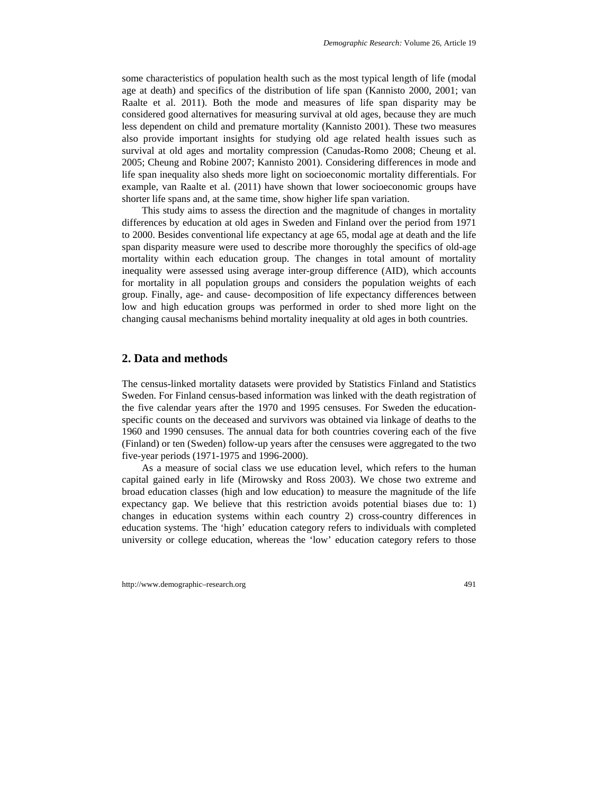some characteristics of population health such as the most typical length of life (modal age at death) and specifics of the distribution of life span (Kannisto 2000, 2001; van Raalte et al. 2011). Both the mode and measures of life span disparity may be considered good alternatives for measuring survival at old ages, because they are much less dependent on child and premature mortality (Kannisto 2001). These two measures also provide important insights for studying old age related health issues such as survival at old ages and mortality compression (Canudas-Romo 2008; Cheung et al. 2005; Cheung and Robine 2007; Kannisto 2001). Considering differences in mode and life span inequality also sheds more light on socioeconomic mortality differentials. For example, van Raalte et al. (2011) have shown that lower socioeconomic groups have shorter life spans and, at the same time, show higher life span variation.

This study aims to assess the direction and the magnitude of changes in mortality differences by education at old ages in Sweden and Finland over the period from 1971 to 2000. Besides conventional life expectancy at age 65, modal age at death and the life span disparity measure were used to describe more thoroughly the specifics of old-age mortality within each education group. The changes in total amount of mortality inequality were assessed using average inter-group difference (AID), which accounts for mortality in all population groups and considers the population weights of each group. Finally, age- and cause- decomposition of life expectancy differences between low and high education groups was performed in order to shed more light on the changing causal mechanisms behind mortality inequality at old ages in both countries.

## **2. Data and methods**

The census-linked mortality datasets were provided by Statistics Finland and Statistics Sweden. For Finland census-based information was linked with the death registration of the five calendar years after the 1970 and 1995 censuses. For Sweden the educationspecific counts on the deceased and survivors was obtained via linkage of deaths to the 1960 and 1990 censuses. The annual data for both countries covering each of the five (Finland) or ten (Sweden) follow-up years after the censuses were aggregated to the two five-year periods (1971-1975 and 1996-2000).

As a measure of social class we use education level, which refers to the human capital gained early in life (Mirowsky and Ross 2003). We chose two extreme and broad education classes (high and low education) to measure the magnitude of the life expectancy gap. We believe that this restriction avoids potential biases due to: 1) changes in education systems within each country 2) cross-country differences in education systems. The 'high' education category refers to individuals with completed university or college education, whereas the 'low' education category refers to those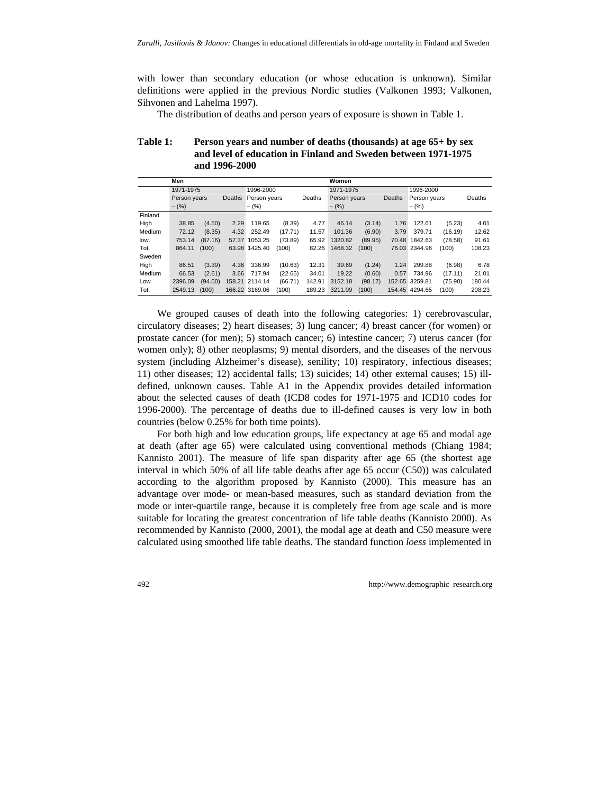with lower than secondary education (or whose education is unknown). Similar definitions were applied in the previous Nordic studies (Valkonen 1993; Valkonen, Sihvonen and Lahelma 1997).

The distribution of deaths and person years of exposure is shown in Table 1.

| <b>Table 1:</b> | Person years and number of deaths (thousands) at age 65+ by sex |
|-----------------|-----------------------------------------------------------------|
|                 | and level of education in Finland and Sweden between 1971-1975  |
|                 | and 1996-2000                                                   |

|         | Men          |         |               |                |         |        | Women        |         |        |                |         |        |  |
|---------|--------------|---------|---------------|----------------|---------|--------|--------------|---------|--------|----------------|---------|--------|--|
|         | 1971-1975    |         |               | 1996-2000      |         |        | 1971-1975    |         |        | 1996-2000      |         |        |  |
|         | Person years |         | <b>Deaths</b> | Person years   |         | Deaths | Person years |         | Deaths | Person years   |         | Deaths |  |
|         | $-$ (%)      |         |               | $-$ (%)        |         |        | $-$ (%)      |         |        | $-(\%)$        |         |        |  |
| Finland |              |         |               |                |         |        |              |         |        |                |         |        |  |
| High    | 38.85        | (4.50)  | 2.29          | 119.65         | (8.39)  | 4.77   | 46.14        | (3.14)  | 1.76   | 122.61         | (5.23)  | 4.01   |  |
| Medium  | 72.12        | (8.35)  | 4.32          | 252.49         | (17.71) | 11.57  | 101.36       | (6.90)  | 3.79   | 379.71         | (16.19) | 12.62  |  |
| low.    | 753.14       | (87.16) | 57.37         | 1053.25        | (73.89) | 65.92  | 1320.82      | (89.95) | 70.48  | 1842.63        | (78.58) | 91.61  |  |
| Tot.    | 864.11       | (100)   | 63.98         | 1425.40        | (100)   | 82.26  | 1468.32      | (100)   |        | 76.03 2344.96  | (100)   | 108.23 |  |
| Sweden  |              |         |               |                |         |        |              |         |        |                |         |        |  |
| High    | 86.51        | (3.39)  | 4.36          | 336.99         | (10.63) | 12.31  | 39.69        | (1.24)  | 1.24   | 299.88         | (6.98)  | 6.78   |  |
| Medium  | 66.53        | (2.61)  | 3.66          | 717.94         | (22.65) | 34.01  | 19.22        | (0.60)  | 0.57   | 734.96         | (17.11) | 21.01  |  |
| Low     | 2396.09      | (94.00) |               | 158.21 2114.14 | (66.71) | 142.91 | 3152.18      | (98.17) |        | 152.65 3259.81 | (75.90) | 180.44 |  |
| Tot.    | 2549.13      | (100)   |               | 166.22 3169.06 | (100)   | 189.23 | 3211.09      | (100)   |        | 154.45 4294.65 | (100)   | 208.23 |  |

We grouped causes of death into the following categories: 1) cerebrovascular, circulatory diseases; 2) heart diseases; 3) lung cancer; 4) breast cancer (for women) or prostate cancer (for men); 5) stomach cancer; 6) intestine cancer; 7) uterus cancer (for women only); 8) other neoplasms; 9) mental disorders, and the diseases of the nervous system (including Alzheimer's disease), senility; 10) respiratory, infectious diseases; 11) other diseases; 12) accidental falls; 13) suicides; 14) other external causes; 15) illdefined, unknown causes. Table A1 in the Appendix provides detailed information about the selected causes of death (ICD8 codes for 1971-1975 and ICD10 codes for 1996-2000). The percentage of deaths due to ill-defined causes is very low in both countries (below 0.25% for both time points).

For both high and low education groups, life expectancy at age 65 and modal age at death (after age 65) were calculated using conventional methods (Chiang 1984; Kannisto 2001). The measure of life span disparity after age 65 (the shortest age interval in which 50% of all life table deaths after age 65 occur (C50)) was calculated according to the algorithm proposed by Kannisto (2000). This measure has an advantage over mode- or mean-based measures, such as standard deviation from the mode or inter-quartile range, because it is completely free from age scale and is more suitable for locating the greatest concentration of life table deaths (Kannisto 2000). As recommended by Kannisto (2000, 2001), the modal age at death and C50 measure were calculated using smoothed life table deaths. The standard function *loess* implemented in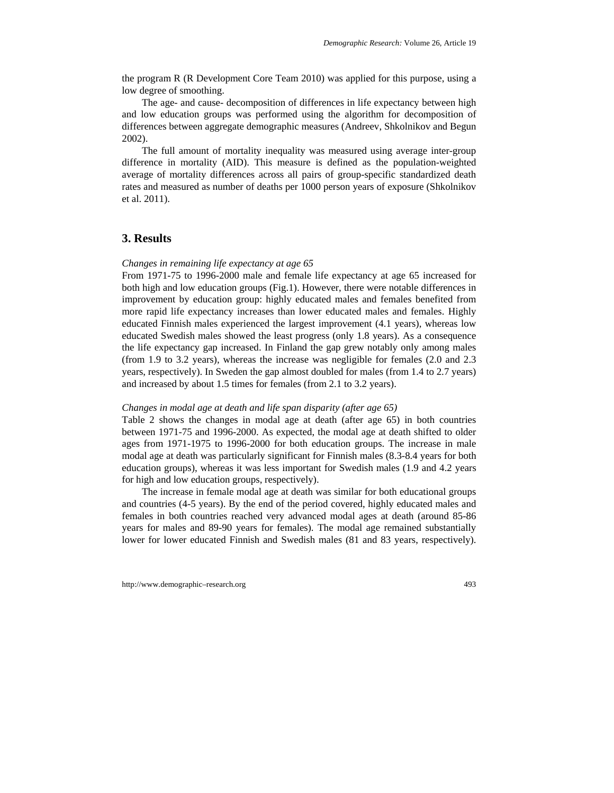the program R (R Development Core Team 2010) was applied for this purpose, using a low degree of smoothing.

The age- and cause- decomposition of differences in life expectancy between high and low education groups was performed using the algorithm for decomposition of differences between aggregate demographic measures (Andreev, Shkolnikov and Begun 2002).

The full amount of mortality inequality was measured using average inter-group difference in mortality (AID). This measure is defined as the population-weighted average of mortality differences across all pairs of group-specific standardized death rates and measured as number of deaths per 1000 person years of exposure (Shkolnikov et al. 2011).

# **3. Results**

#### *Changes in remaining life expectancy at age 65*

From 1971-75 to 1996-2000 male and female life expectancy at age 65 increased for both high and low education groups (Fig.1). However, there were notable differences in improvement by education group: highly educated males and females benefited from more rapid life expectancy increases than lower educated males and females. Highly educated Finnish males experienced the largest improvement (4.1 years), whereas low educated Swedish males showed the least progress (only 1.8 years). As a consequence the life expectancy gap increased. In Finland the gap grew notably only among males (from 1.9 to 3.2 years), whereas the increase was negligible for females (2.0 and 2.3 years, respectively). In Sweden the gap almost doubled for males (from 1.4 to 2.7 years) and increased by about 1.5 times for females (from 2.1 to 3.2 years).

#### *Changes in modal age at death and life span disparity (after age 65)*

Table 2 shows the changes in modal age at death (after age 65) in both countries between 1971-75 and 1996-2000. As expected, the modal age at death shifted to older ages from 1971-1975 to 1996-2000 for both education groups. The increase in male modal age at death was particularly significant for Finnish males (8.3-8.4 years for both education groups), whereas it was less important for Swedish males (1.9 and 4.2 years for high and low education groups, respectively).

The increase in female modal age at death was similar for both educational groups and countries (4-5 years). By the end of the period covered, highly educated males and females in both countries reached very advanced modal ages at death (around 85-86 years for males and 89-90 years for females). The modal age remained substantially lower for lower educated Finnish and Swedish males (81 and 83 years, respectively).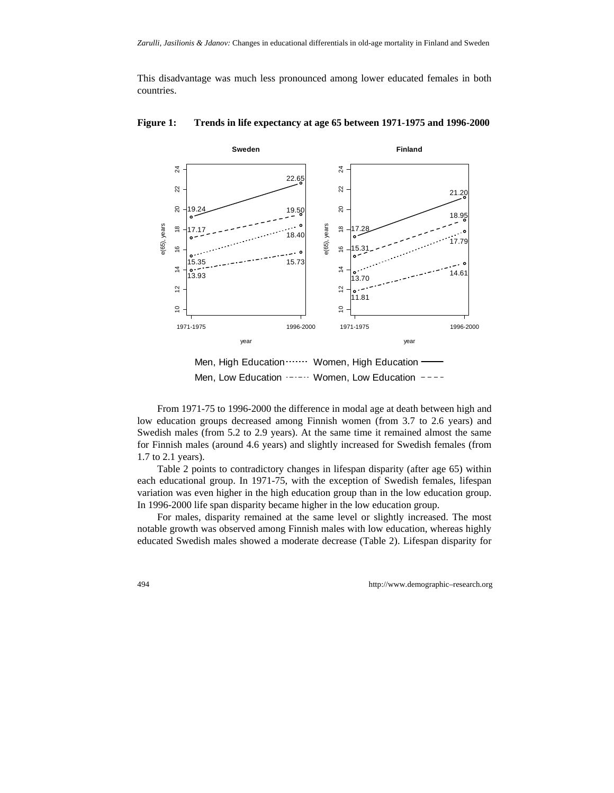This disadvantage was much less pronounced among lower educated females in both countries.



**Figure 1: Trends in life expectancy at age 65 between 1971-1975 and 1996-2000** 

Men, Low Education ·-·-·· Women, Low Education ----

From 1971-75 to 1996-2000 the difference in modal age at death between high and low education groups decreased among Finnish women (from 3.7 to 2.6 years) and Swedish males (from 5.2 to 2.9 years). At the same time it remained almost the same for Finnish males (around 4.6 years) and slightly increased for Swedish females (from 1.7 to 2.1 years).

Table 2 points to contradictory changes in lifespan disparity (after age 65) within each educational group. In 1971-75, with the exception of Swedish females, lifespan variation was even higher in the high education group than in the low education group. In 1996-2000 life span disparity became higher in the low education group.

For males, disparity remained at the same level or slightly increased. The most notable growth was observed among Finnish males with low education, whereas highly educated Swedish males showed a moderate decrease (Table 2). Lifespan disparity for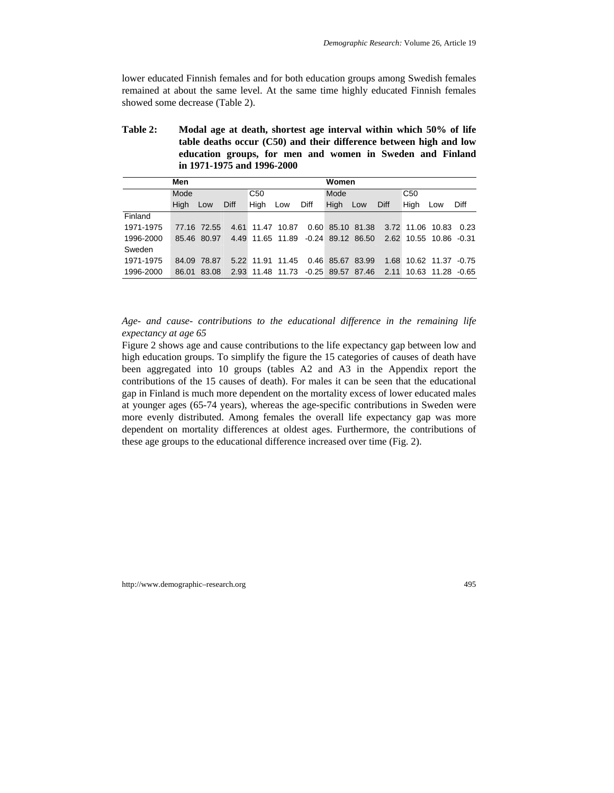lower educated Finnish females and for both education groups among Swedish females remained at about the same level. At the same time highly educated Finnish females showed some decrease (Table 2).

| <b>Table 2:</b> | Modal age at death, shortest age interval within which 50% of life |
|-----------------|--------------------------------------------------------------------|
|                 | table deaths occur (C50) and their difference between high and low |
|                 | education groups, for men and women in Sweden and Finland          |
|                 | in 1971-1975 and 1996-2000                                         |

|           | Men   |             |      |                  |     |      |                                    | Women |      |                        |                   |      |
|-----------|-------|-------------|------|------------------|-----|------|------------------------------------|-------|------|------------------------|-------------------|------|
|           | Mode  |             |      | C <sub>50</sub>  |     |      | Mode                               |       |      | C <sub>50</sub>        |                   |      |
|           | High  | Low         | Diff | High             | Low | Diff | High                               | Low   | Diff | Hiah                   | Low               | Diff |
| Finland   |       |             |      |                  |     |      |                                    |       |      |                        |                   |      |
| 1971-1975 |       | 77.16 72.55 |      | 4.61 11.47 10.87 |     |      | 0.60 85.10 81.38                   |       |      | 3.72 11.06 10.83       |                   | 0.23 |
| 1996-2000 |       | 85.46 80.97 |      |                  |     |      | 4.49 11.65 11.89 -0.24 89.12 86.50 |       |      | 2.62 10.55 10.86 -0.31 |                   |      |
| Sweden    |       |             |      |                  |     |      |                                    |       |      |                        |                   |      |
| 1971-1975 | 84.09 | 78.87       |      |                  |     |      | 5.22 11.91 11.45 0.46 85.67 83.99  |       | 1.68 |                        | 10.62 11.37 -0.75 |      |
| 1996-2000 | 86.01 | 83.08       |      |                  |     |      | 2.93 11.48 11.73 -0.25 89.57 87.46 |       | 2.11 |                        | 10.63 11.28 -0.65 |      |

*Age- and cause- contributions to the educational difference in the remaining life expectancy at age 65* 

Figure 2 shows age and cause contributions to the life expectancy gap between low and high education groups. To simplify the figure the 15 categories of causes of death have been aggregated into 10 groups (tables A2 and A3 in the Appendix report the contributions of the 15 causes of death). For males it can be seen that the educational gap in Finland is much more dependent on the mortality excess of lower educated males at younger ages (65-74 years), whereas the age-specific contributions in Sweden were more evenly distributed. Among females the overall life expectancy gap was more dependent on mortality differences at oldest ages. Furthermore, the contributions of these age groups to the educational difference increased over time (Fig. 2).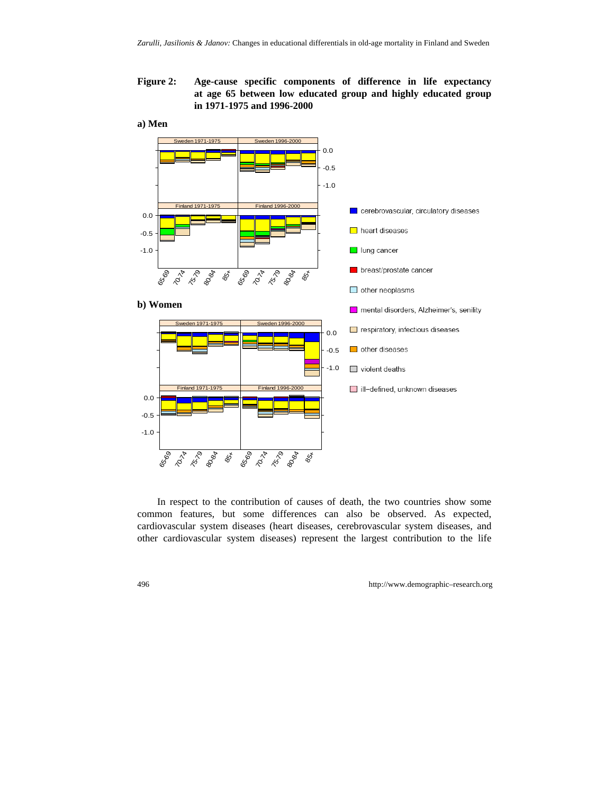**Figure 2: Age-cause specific components of difference in life expectancy at age 65 between low educated group and highly educated group in 1971-1975 and 1996-2000** 

#### **a) Men**



In respect to the contribution of causes of death, the two countries show some common features, but some differences can also be observed. As expected, cardiovascular system diseases (heart diseases, cerebrovascular system diseases, and other cardiovascular system diseases) represent the largest contribution to the life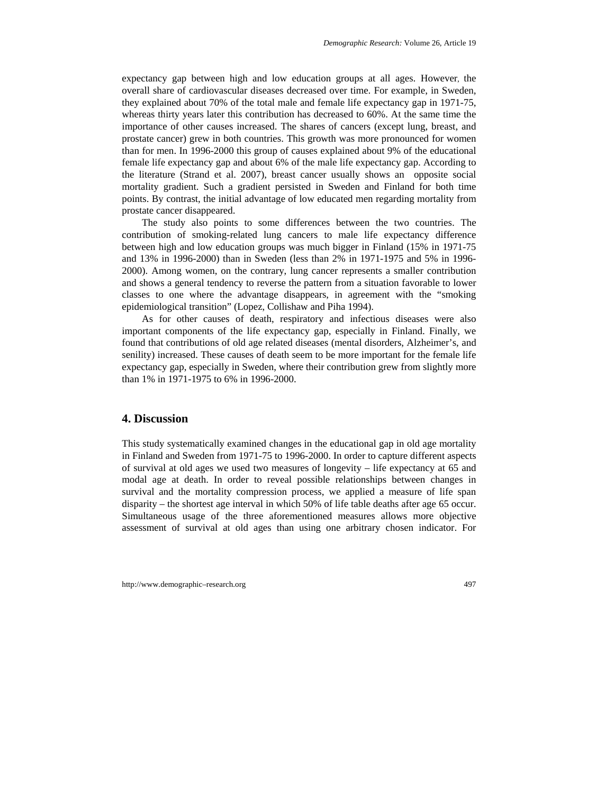expectancy gap between high and low education groups at all ages. However, the overall share of cardiovascular diseases decreased over time. For example, in Sweden, they explained about 70% of the total male and female life expectancy gap in 1971-75, whereas thirty years later this contribution has decreased to 60%. At the same time the importance of other causes increased. The shares of cancers (except lung, breast, and prostate cancer) grew in both countries. This growth was more pronounced for women than for men. In 1996-2000 this group of causes explained about 9% of the educational female life expectancy gap and about 6% of the male life expectancy gap. According to the literature (Strand et al. 2007), breast cancer usually shows an opposite social mortality gradient. Such a gradient persisted in Sweden and Finland for both time points. By contrast, the initial advantage of low educated men regarding mortality from prostate cancer disappeared.

The study also points to some differences between the two countries. The contribution of smoking-related lung cancers to male life expectancy difference between high and low education groups was much bigger in Finland (15% in 1971-75 and 13% in 1996-2000) than in Sweden (less than 2% in 1971-1975 and 5% in 1996- 2000). Among women, on the contrary, lung cancer represents a smaller contribution and shows a general tendency to reverse the pattern from a situation favorable to lower classes to one where the advantage disappears, in agreement with the "smoking epidemiological transition" (Lopez, Collishaw and Piha 1994).

As for other causes of death, respiratory and infectious diseases were also important components of the life expectancy gap, especially in Finland. Finally, we found that contributions of old age related diseases (mental disorders, Alzheimer's, and senility) increased. These causes of death seem to be more important for the female life expectancy gap, especially in Sweden, where their contribution grew from slightly more than 1% in 1971-1975 to 6% in 1996-2000.

## **4. Discussion**

This study systematically examined changes in the educational gap in old age mortality in Finland and Sweden from 1971-75 to 1996-2000. In order to capture different aspects of survival at old ages we used two measures of longevity – life expectancy at 65 and modal age at death. In order to reveal possible relationships between changes in survival and the mortality compression process, we applied a measure of life span disparity – the shortest age interval in which 50% of life table deaths after age 65 occur. Simultaneous usage of the three aforementioned measures allows more objective assessment of survival at old ages than using one arbitrary chosen indicator. For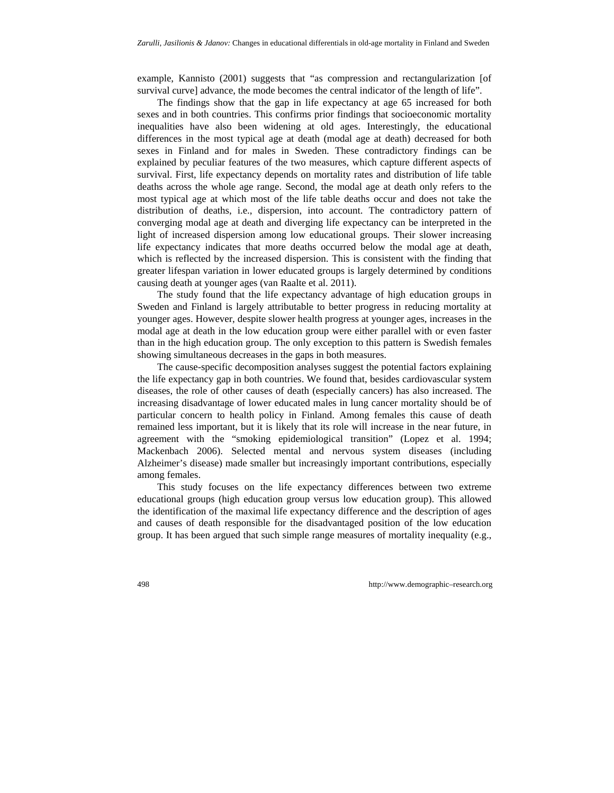example, Kannisto (2001) suggests that "as compression and rectangularization [of survival curve] advance, the mode becomes the central indicator of the length of life".

The findings show that the gap in life expectancy at age 65 increased for both sexes and in both countries. This confirms prior findings that socioeconomic mortality inequalities have also been widening at old ages. Interestingly, the educational differences in the most typical age at death (modal age at death) decreased for both sexes in Finland and for males in Sweden. These contradictory findings can be explained by peculiar features of the two measures, which capture different aspects of survival. First, life expectancy depends on mortality rates and distribution of life table deaths across the whole age range. Second, the modal age at death only refers to the most typical age at which most of the life table deaths occur and does not take the distribution of deaths, i.e., dispersion, into account. The contradictory pattern of converging modal age at death and diverging life expectancy can be interpreted in the light of increased dispersion among low educational groups. Their slower increasing life expectancy indicates that more deaths occurred below the modal age at death, which is reflected by the increased dispersion. This is consistent with the finding that greater lifespan variation in lower educated groups is largely determined by conditions causing death at younger ages (van Raalte et al. 2011).

The study found that the life expectancy advantage of high education groups in Sweden and Finland is largely attributable to better progress in reducing mortality at younger ages. However, despite slower health progress at younger ages, increases in the modal age at death in the low education group were either parallel with or even faster than in the high education group. The only exception to this pattern is Swedish females showing simultaneous decreases in the gaps in both measures.

The cause-specific decomposition analyses suggest the potential factors explaining the life expectancy gap in both countries. We found that, besides cardiovascular system diseases, the role of other causes of death (especially cancers) has also increased. The increasing disadvantage of lower educated males in lung cancer mortality should be of particular concern to health policy in Finland. Among females this cause of death remained less important, but it is likely that its role will increase in the near future, in agreement with the "smoking epidemiological transition" (Lopez et al. 1994; Mackenbach 2006). Selected mental and nervous system diseases (including Alzheimer's disease) made smaller but increasingly important contributions, especially among females.

This study focuses on the life expectancy differences between two extreme educational groups (high education group versus low education group). This allowed the identification of the maximal life expectancy difference and the description of ages and causes of death responsible for the disadvantaged position of the low education group. It has been argued that such simple range measures of mortality inequality (e.g.,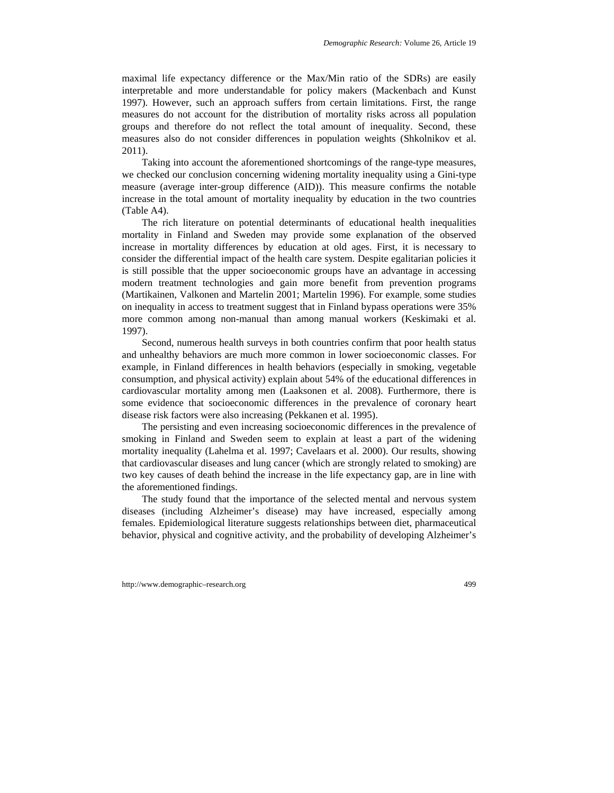maximal life expectancy difference or the Max/Min ratio of the SDRs) are easily interpretable and more understandable for policy makers (Mackenbach and Kunst 1997). However, such an approach suffers from certain limitations. First, the range measures do not account for the distribution of mortality risks across all population groups and therefore do not reflect the total amount of inequality. Second, these measures also do not consider differences in population weights (Shkolnikov et al. 2011).

Taking into account the aforementioned shortcomings of the range-type measures, we checked our conclusion concerning widening mortality inequality using a Gini-type measure (average inter-group difference (AID)). This measure confirms the notable increase in the total amount of mortality inequality by education in the two countries (Table A4).

The rich literature on potential determinants of educational health inequalities mortality in Finland and Sweden may provide some explanation of the observed increase in mortality differences by education at old ages. First, it is necessary to consider the differential impact of the health care system. Despite egalitarian policies it is still possible that the upper socioeconomic groups have an advantage in accessing modern treatment technologies and gain more benefit from prevention programs (Martikainen, Valkonen and Martelin 2001; Martelin 1996). For example, some studies on inequality in access to treatment suggest that in Finland bypass operations were 35% more common among non-manual than among manual workers (Keskimaki et al. 1997).

Second, numerous health surveys in both countries confirm that poor health status and unhealthy behaviors are much more common in lower socioeconomic classes. For example, in Finland differences in health behaviors (especially in smoking, vegetable consumption, and physical activity) explain about 54% of the educational differences in cardiovascular mortality among men (Laaksonen et al. 2008). Furthermore, there is some evidence that socioeconomic differences in the prevalence of coronary heart disease risk factors were also increasing (Pekkanen et al. 1995).

The persisting and even increasing socioeconomic differences in the prevalence of smoking in Finland and Sweden seem to explain at least a part of the widening mortality inequality (Lahelma et al. 1997; Cavelaars et al. 2000). Our results, showing that cardiovascular diseases and lung cancer (which are strongly related to smoking) are two key causes of death behind the increase in the life expectancy gap, are in line with the aforementioned findings.

The study found that the importance of the selected mental and nervous system diseases (including Alzheimer's disease) may have increased, especially among females. Epidemiological literature suggests relationships between diet, pharmaceutical behavior, physical and cognitive activity, and the probability of developing Alzheimer's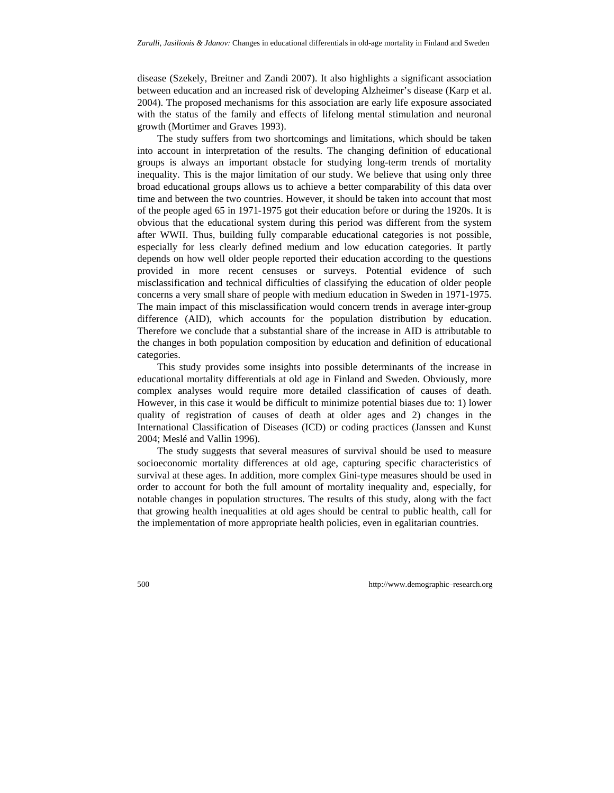disease (Szekely, Breitner and Zandi 2007). It also highlights a significant association between education and an increased risk of developing Alzheimer's disease (Karp et al. 2004). The proposed mechanisms for this association are early life exposure associated with the status of the family and effects of lifelong mental stimulation and neuronal growth (Mortimer and Graves 1993).

The study suffers from two shortcomings and limitations, which should be taken into account in interpretation of the results. The changing definition of educational groups is always an important obstacle for studying long-term trends of mortality inequality. This is the major limitation of our study. We believe that using only three broad educational groups allows us to achieve a better comparability of this data over time and between the two countries. However, it should be taken into account that most of the people aged 65 in 1971-1975 got their education before or during the 1920s. It is obvious that the educational system during this period was different from the system after WWII. Thus, building fully comparable educational categories is not possible, especially for less clearly defined medium and low education categories. It partly depends on how well older people reported their education according to the questions provided in more recent censuses or surveys. Potential evidence of such misclassification and technical difficulties of classifying the education of older people concerns a very small share of people with medium education in Sweden in 1971-1975. The main impact of this misclassification would concern trends in average inter-group difference (AID), which accounts for the population distribution by education. Therefore we conclude that a substantial share of the increase in AID is attributable to the changes in both population composition by education and definition of educational categories.

This study provides some insights into possible determinants of the increase in educational mortality differentials at old age in Finland and Sweden. Obviously, more complex analyses would require more detailed classification of causes of death. However, in this case it would be difficult to minimize potential biases due to: 1) lower quality of registration of causes of death at older ages and 2) changes in the International Classification of Diseases (ICD) or coding practices (Janssen and Kunst 2004; Meslé and Vallin 1996).

The study suggests that several measures of survival should be used to measure socioeconomic mortality differences at old age, capturing specific characteristics of survival at these ages. In addition, more complex Gini-type measures should be used in order to account for both the full amount of mortality inequality and, especially, for notable changes in population structures. The results of this study, along with the fact that growing health inequalities at old ages should be central to public health, call for the implementation of more appropriate health policies, even in egalitarian countries.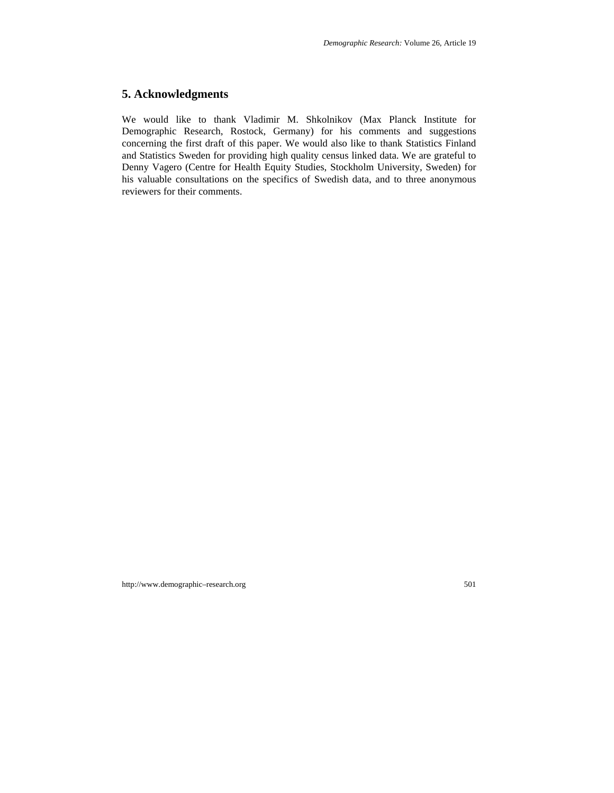# **5. Acknowledgments**

We would like to thank Vladimir M. Shkolnikov (Max Planck Institute for Demographic Research, Rostock, Germany) for his comments and suggestions concerning the first draft of this paper. We would also like to thank Statistics Finland and Statistics Sweden for providing high quality census linked data. We are grateful to Denny Vagero (Centre for Health Equity Studies, Stockholm University, Sweden) for his valuable consultations on the specifics of Swedish data, and to three anonymous reviewers for their comments.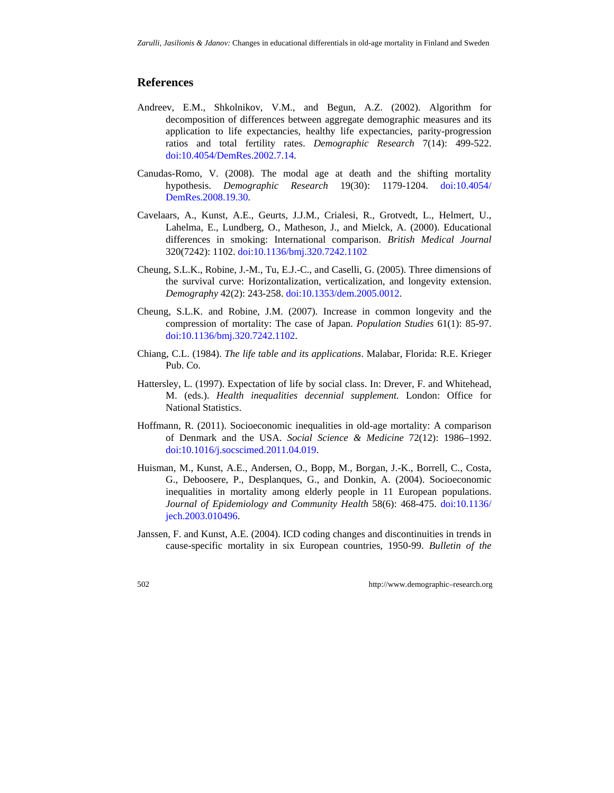## **References**

- Andreev, E.M., Shkolnikov, V.M., and Begun, A.Z. (2002). Algorithm for decomposition of differences between aggregate demographic measures and its application to life expectancies, healthy life expectancies, parity-progression ratios and total fertility rates. *Demographic Research* 7(14): 499-522. doi:[10.4054/DemRes.2002.7.14.](http://dx.doi.org/10.4054/DemRes.2002.7.14)
- Canudas-Romo, V. (2008). The modal age at death and the shifting mortality hypothesis. *Demographic Research* 19(30): 1179-1204. [doi:10.4054/](http://dx.doi.org/10.4054/DemRes.2008.19.30)  [DemRes.2008.19.30](http://dx.doi.org/10.4054/DemRes.2008.19.30).
- Cavelaars, A., Kunst, A.E., Geurts, J.J.M., Crialesi, R., Grotvedt, L., Helmert, U., Lahelma, E., Lundberg, O., Matheson, J., and Mielck, A. (2000). Educational differences in smoking: International comparison. *British Medical Journal*  320(7242): 1102. doi:[10.1136/bmj.320.7242.1102](http://dx.doi.org/10.1136/bmj.320.7242.1102).
- Cheung, S.L.K., Robine, J.-M., Tu, E.J.-C., and Caselli, G. (2005). Three dimensions of the survival curve: Horizontalization, verticalization, and longevity extension. *Demography* [42\(2\): 243-258. do](http://dx.doi.org/10.1136/bmj.320.7242.1102)i:10.1353/dem.2005.0012.
- Cheung, S.L.K. and Robine, J.M. (2007). Increase in common longevity and the compression of mortality: The case of Japan. *Population Studies* 61(1): 85-97. doi:10.1136/bmj.320.7242.1102.
- Chiang, C.L. (1984). *The life table and its applications*. Malabar, Florida: R.E. Krieger Pub. Co.
- Hattersley, L. (1997). Expectation of life by social class. In: Drever, F. and Whitehead, M. (eds.). *Health inequalities decennial supplement*. London: Office for National Statistics.
- Hoffmann, R. (2011). Socioeconomic inequalities in old-age mortality: A comparison of Denmark and the USA. *Social Science & Medicine* 72(12): 1986–1992. doi:[10.1016/j.socscimed.2011.04.019](http://dx.doi.org/10.1016/j.socscimed.2011.04.019).
- Huisman, M., Kunst, A.E., Andersen, O., Bopp, M., Borgan, J.-K., Borrell, C., Costa, G., Deboosere, P., Desplanques, G., and Donkin, A. (2004). Socioeconomic inequalities in mortality among elderly people in 11 European populations. *Journal of Epidemiology and Community Health* 58(6): 468-475. doi:[10.1136/](http://dx.doi.org/10.1136/jech.2003.010496)  [jech.2003.010496.](http://dx.doi.org/10.1136/jech.2003.010496)
- Janssen, F. and Kunst, A.E. (2004). ICD coding changes and discontinuities in trends in cause-specific mortality in six European countries, 1950-99. *Bulletin of the*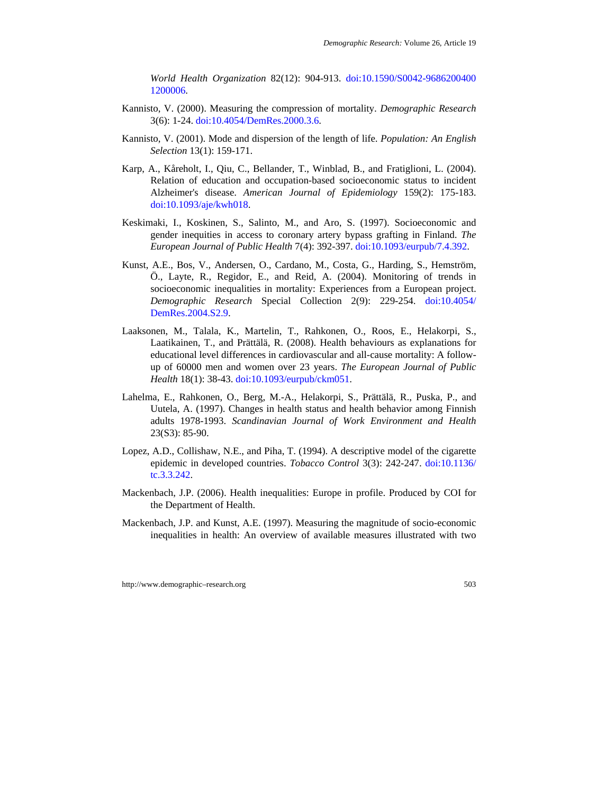*World Health Organization* 82(12): 904-913. doi:[10.1590/S0042-9686200400](http://dx.doi.org/10.1590/S0042-96862004001200006)  [1200006.](http://dx.doi.org/10.1590/S0042-96862004001200006)

- Kannisto, V. (2000). Measuring the compression of mortality. *Demographic Research*  3(6): 1-24. [doi:10.4054/DemRes.2000.3.6.](http://dx.doi.org/10.4054%2FDemRes.2000.3.6)
- Kannisto, V. (2001). Mode and dispersion of the length of life. *Population: An English Selection* 13(1): 159-171.
- Karp, A., Kåreholt, I., Qiu, C., Bellander, T., Winblad, B., and Fratiglioni, L. (2004). Relation of education and occupation-based socioeconomic status to incident Alzheimer's disease. *American Journal of Epidemiology* 159(2): 175-183. doi[:10.1093/aje/kwh018](http://dx.doi.org/10.1093/aje/kwh018).
- Keskimaki, I., Koskinen, S., Salinto, M., and Aro, S. (1997). Socioeconomic and gender inequities in access to coronary artery bypass grafting in Finland. *The European Journal of Public Health* 7(4): 392-397. doi:[10.1093/eurpub/7.4.392.](http://dx.doi.org/10.1093/eurpub/7.4.392)
- Kunst, A.E., Bos, V., Andersen, O., Cardano, M., Costa, G., Harding, S., Hemström, Ö., Layte, R., Regidor, E., and Reid, A. (2004). Monitoring of trends in socioeconomic inequalities in mortality: Experiences from a European project. *Demographic Research* Special Collection 2(9): 229-254. doi[:10.4054/](http://dx.doi.org/10.4054/DemRes.2004.S2.9)  [DemRes.2004.S2.9](http://dx.doi.org/10.4054/DemRes.2004.S2.9).
- Laaksonen, M., Talala, K., Martelin, T., Rahkonen, O., Roos, E., Helakorpi, S., Laatikainen, T., and Prättälä, R. (2008). Health behaviours as explanations for educational level differences in cardiovascular and all-cause mortality: A followup of 60000 men and women over 23 years. *The European Journal of Public Health* 18(1): 38-43. doi[:10.1093/eurpub/ckm051](http://dx.doi.org/10.1093/eurpub/ckm051).
- Lahelma, E., Rahkonen, O., Berg, M.-A., Helakorpi, S., Prättälä, R., Puska, P., and Uutela, A. (1997). Changes in health status and health behavior among Finnish adults 1978-1993. *Scandinavian Journal of Work Environment and Health*  23(S3): 85-90.
- Lopez, A.D., Collishaw, N.E., and Piha, T. (1994). A descriptive model of the cigarette epidemic in developed countries. *Tobacco Control* 3(3): 242-247. doi:[10.1136/](http://dx.doi.org/10.1136/tc.3.3.242)  [tc.3.3.242.](http://dx.doi.org/10.1136/tc.3.3.242)
- Mackenbach, J.P. (2006). Health inequalities: Europe in profile. Produced by COI for the Department of Health.
- Mackenbach, J.P. and Kunst, A.E. (1997). Measuring the magnitude of socio-economic inequalities in health: An overview of available measures illustrated with two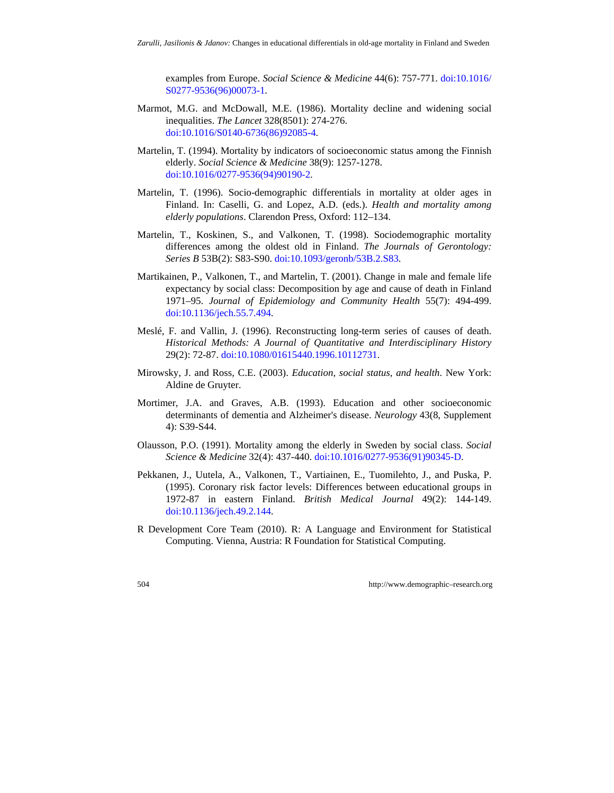examples from Europe. *Social Science & Medicine* 44(6): 757-771. doi:[10.1016/](http://dx.doi.org/10.1016/S0277-9536(96)00073-1)  [S0277-9536\(96\)00073-1](http://dx.doi.org/10.1016/S0277-9536(96)00073-1).

- Marmot, M.G. and McDowall, M.E. (1986). Mortality decline and widening social inequalities. *The Lancet* 328(8501): 274-276. doi:[10.1016/S0140-6736\(86\)92085-4.](http://dx.doi.org/10.1016/S0140-6736(86)92085-4)
- Martelin, T. (1994). Mortality by indicators of socioeconomic status among the Finnish elderly. *Social Science & Medicine* 38(9): 1257-1278. doi:[10.1016/0277-9536\(94\)90190-2](http://dx.doi.org/10.1016/0277-9536(94)90190-2).
- Martelin, T. (1996). Socio-demographic differentials in mortality at older ages in Finland. In: Caselli, G. and Lopez, A.D. (eds.). *Health and mortality among elderly populations*. Clarendon Press, Oxford: 112–134.
- Martelin, T., Koskinen, S., and Valkonen, T. (1998). Sociodemographic mortality differences among the oldest old in Finland. *The Journals of Gerontology: Series B* 53B(2): S83-S90. [doi:10.1093/geronb/53B.2.S83](http://dx.doi.org/10.1093%2Fgeronb%2F53B.2.S83).
- Martikainen, P., Valkonen, T., and Martelin, T. (2001). Change in male and female life expectancy by social class: Decomposition by age and cause of death in Finland 1971–95. *Journal of Epidemiology and Community Health* 55(7): 494-499. doi:[10.1136/jech.55.7.494](http://dx.doi.org/10.1136/jech.55.7.494).
- Meslé, F. and Vallin, J. (1996). Reconstructing long-term series of causes of death. *Historical Methods: A Journal of Quantitative and Interdisciplinary History*  29(2): 72-87. [doi:10.1080/01615440.1996.10112731](http://dx.doi.org/10.1080%2F01615440.1996.10112731).
- Mirowsky, J. and Ross, C.E. (2003). *Education, social status, and health*. New York: Aldine de Gruyter.
- Mortimer, J.A. and Graves, A.B. (1993). Education and other socioeconomic determinants of dementia and Alzheimer's disease. *Neurology* 43(8, Supplement 4): S39-S44.
- Olausson, P.O. (1991). Mortality among the elderly in Sweden by social class. *Social Science & Medicine* 32(4): 437-440. doi[:10.1016/0277-9536\(91\)90345-D.](http://dx.doi.org/10.1016/0277-9536(91)90345-D)
- Pekkanen, J., Uutela, A., Valkonen, T., Vartiainen, E., Tuomilehto, J., and Puska, P. (1995). Coronary risk factor levels: Differences between educational groups in 1972-87 in eastern Finland. *British Medical Journal* 49(2): 144-149. [doi:10.1136/jech.49.2.144](http://dx.doi.org/10.1136%2Fjech.49.2.144).
- R Development Core Team (2010). R: A Language and Environment for Statistical Computing. Vienna, Austria: R Foundation for Statistical Computing.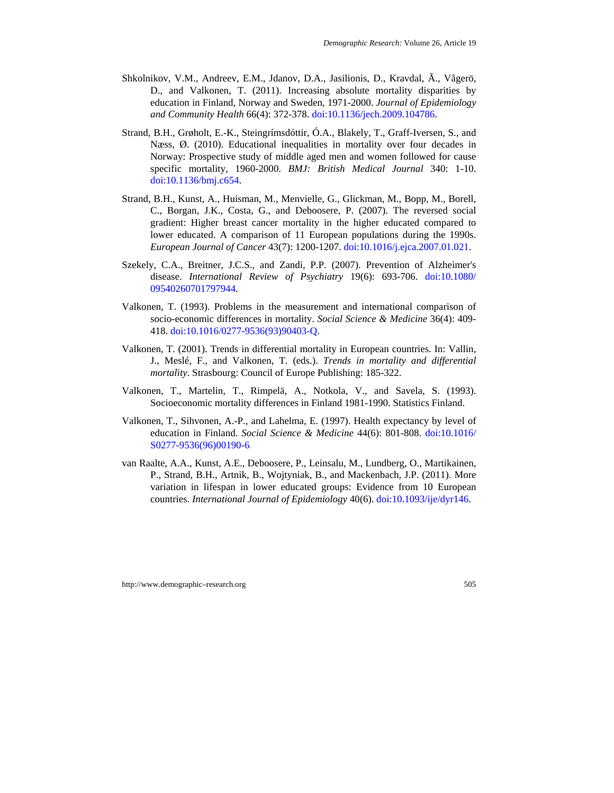- Shkolnikov, V.M., Andreev, E.M., Jdanov, D.A., Jasilionis, D., Kravdal, Ã., Vågerö, D., and Valkonen, T. (2011). Increasing absolute mortality disparities by education in Finland, Norway and Sweden, 1971-2000. *Journal of Epidemiology and Community Health* 66(4): 372-378. doi:[10.1136/jech.2009.104786](http://dx.doi.org/10.1136/jech.2009.104786).
- Strand, B.H., Grøholt, E.-K., Steingrímsdóttir, Ó.A., Blakely, T., Graff-Iversen, S., and Næss, Ø. (2010). Educational inequalities in mortality over four decades in Norway: Prospective study of middle aged men and women followed for cause specific mortality, 1960-2000. *BMJ: British Medical Journal* 340: 1-10. [doi:10.1136/bmj.c654](http://dx.doi.org/10.1136%2Fbmj.c654).
- Strand, B.H., Kunst, A., Huisman, M., Menvielle, G., Glickman, M., Bopp, M., Borell, C., Borgan, J.K., Costa, G., and Deboosere, P. (2007). The reversed social gradient: Higher breast cancer mortality in the higher educated compared to lower educated. A comparison of 11 European populations during the 1990s. *European Journal of Cancer* 43(7): 1200-1207. doi[:10.1016/j.ejca.2007.01.021.](http://dx.doi.org/10.1016/j.ejca.2007.01.021)
- Szekely, C.A., Breitner, J.C.S., and Zandi, P.P. (2007). Prevention of Alzheimer's disease. *International Review of Psychiatry* 19(6): 693-706. doi[:10.1080/](http://dx.doi.org/10.1080/09540260701797944)  [09540260701797944.](http://dx.doi.org/10.1080/09540260701797944)
- Valkonen, T. (1993). Problems in the measurement and international comparison of socio-economic differences in mortality. *Social Science & Medicine* 36(4): 409- 418. doi[:10.1016/0277-9536\(93\)90403-Q](http://dx.doi.org/10.1016/0277-9536(93)90403-Q).
- Valkonen, T. (2001). Trends in differential mortality in European countries. In: Vallin, J., Meslé, F., and Valkonen, T. (eds.). *Trends in mortality and differential mortality*. Strasbourg: Council of Europe Publishing: 185-322.
- Valkonen, T., Martelin, T., Rimpelä, A., Notkola, V., and Savela, S. (1993). Socioeconomic mortality differences in Finland 1981-1990. Statistics Finland.
- Valkonen, T., Sihvonen, A.-P., and Lahelma, E. (1997). Health expectancy by level of education in Finland. *Social Science & Medicine* 44(6): 801-808. doi:[10.1016/](http://dx.doi.org/10.1016/S0277-9536(96)00190-6)  [S0277-9536\(96\)00190-6](http://dx.doi.org/10.1016/S0277-9536(96)00190-6).
- van Raalte, A.A., Kunst, A.E., Deboosere, P., Leinsalu, M., Lundberg, O., Martikainen, P., Strand, B.H., Artnik, B., Wojtyniak, B., and Mackenbach, J.P. (2011). More variation in lifespan in lower educated groups: Evidence from 10 European countries. *International Journal of Epidemiology* 40(6). doi:[10.1093/ije/dyr146](http://dx.doi.org/10.1093/ije/dyr146).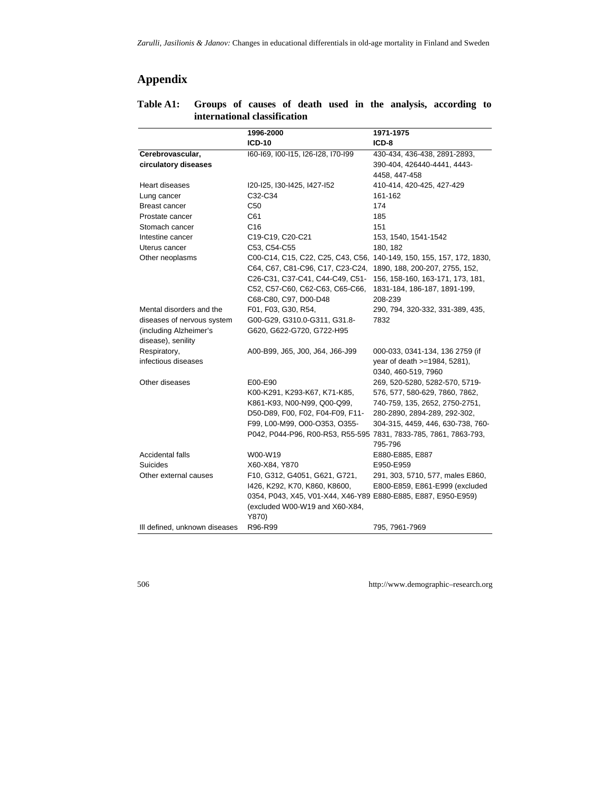# **Appendix**

|                               | 1996-2000                                                            | 1971-1975                         |
|-------------------------------|----------------------------------------------------------------------|-----------------------------------|
|                               | <b>ICD-10</b>                                                        | ICD-8                             |
| Cerebrovascular,              | I60-I69, I00-I15, I26-I28, I70-I99                                   | 430-434, 436-438, 2891-2893,      |
| circulatory diseases          |                                                                      | 390-404, 426440-4441, 4443-       |
|                               |                                                                      | 4458, 447-458                     |
| Heart diseases                | I20-I25, I30-I425, I427-I52                                          | 410-414, 420-425, 427-429         |
| Lung cancer                   | C32-C34                                                              | 161-162                           |
| <b>Breast cancer</b>          | C50                                                                  | 174                               |
| Prostate cancer               | C61                                                                  | 185                               |
| Stomach cancer                | C <sub>16</sub>                                                      | 151                               |
| Intestine cancer              | C19-C19, C20-C21                                                     | 153, 1540, 1541-1542              |
| Uterus cancer                 | C53, C54-C55                                                         | 180, 182                          |
| Other neoplasms               | C00-C14, C15, C22, C25, C43, C56, 140-149, 150, 155, 157, 172, 1830, |                                   |
|                               | C64, C67, C81-C96, C17, C23-C24,                                     | 1890, 188, 200-207, 2755, 152,    |
|                               | C26-C31, C37-C41, C44-C49, C51-                                      | 156, 158-160, 163-171, 173, 181,  |
|                               | C52, C57-C60, C62-C63, C65-C66,                                      | 1831-184, 186-187, 1891-199,      |
|                               | C68-C80, C97, D00-D48                                                | 208-239                           |
| Mental disorders and the      | F01, F03, G30, R54,                                                  | 290, 794, 320-332, 331-389, 435,  |
| diseases of nervous system    | G00-G29, G310.0-G311, G31.8-                                         | 7832                              |
| (including Alzheimer's        | G620, G622-G720, G722-H95                                            |                                   |
| disease), senility            |                                                                      |                                   |
| Respiratory,                  | A00-B99, J65, J00, J64, J66-J99                                      | 000-033, 0341-134, 136 2759 (if   |
| infectious diseases           |                                                                      | year of death >=1984, 5281),      |
|                               |                                                                      | 0340, 460-519, 7960               |
| Other diseases                | E00-E90                                                              | 269, 520-5280, 5282-570, 5719-    |
|                               | K00-K291, K293-K67, K71-K85,                                         | 576, 577, 580-629, 7860, 7862,    |
|                               | K861-K93, N00-N99, Q00-Q99,                                          | 740-759, 135, 2652, 2750-2751,    |
|                               | D50-D89, F00, F02, F04-F09, F11-                                     | 280-2890, 2894-289, 292-302,      |
|                               | F99, L00-M99, O00-O353, O355-                                        | 304-315, 4459, 446, 630-738, 760- |
|                               | P042, P044-P96, R00-R53, R55-595 7831, 7833-785, 7861, 7863-793,     |                                   |
|                               |                                                                      | 795-796                           |
| Accidental falls              | W00-W19                                                              | E880-E885, E887                   |
| <b>Suicides</b>               | X60-X84, Y870                                                        | E950-E959                         |
| Other external causes         | F10, G312, G4051, G621, G721,                                        | 291, 303, 5710, 577, males E860,  |
|                               | 1426, K292, K70, K860, K8600,                                        | E800-E859, E861-E999 (excluded    |
|                               | 0354, P043, X45, V01-X44, X46-Y89 E880-E885, E887, E950-E959)        |                                   |
|                               | (excluded W00-W19 and X60-X84,                                       |                                   |
|                               | Y870)                                                                |                                   |
| Ill defined, unknown diseases | R96-R99                                                              | 795, 7961-7969                    |

## **Table A1: Groups of causes of death used in the analysis, according to international classification**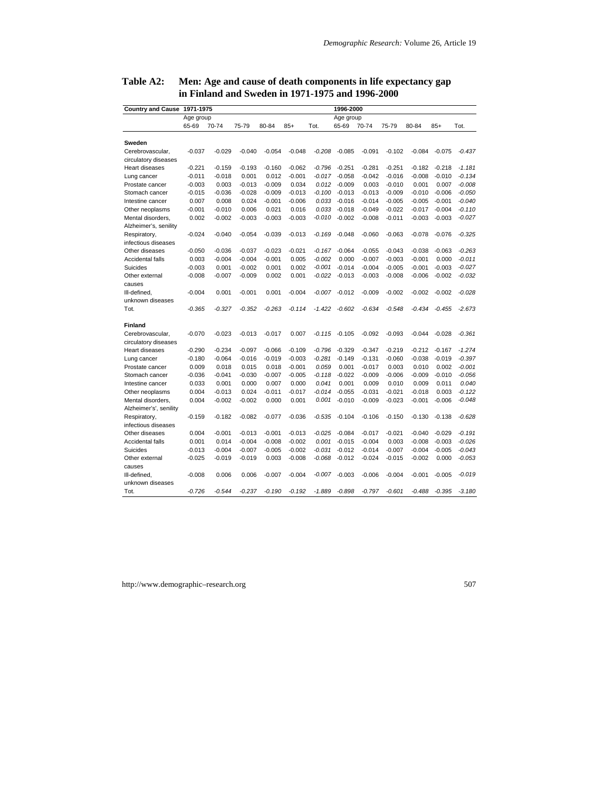| <b>Country and Cause</b> | 1971-1975 |          |          |           |          |          | 1996-2000 |          |          |          |          |          |
|--------------------------|-----------|----------|----------|-----------|----------|----------|-----------|----------|----------|----------|----------|----------|
|                          | Age group |          |          | Age group |          |          |           |          |          |          |          |          |
|                          | 65-69     | 70-74    | 75-79    | 80-84     | $85+$    | Tot.     | 65-69     | 70-74    | 75-79    | 80-84    | $85+$    | Tot.     |
|                          |           |          |          |           |          |          |           |          |          |          |          |          |
| Sweden                   |           |          |          |           |          |          |           |          |          |          |          |          |
| Cerebrovascular,         | $-0.037$  | $-0.029$ | $-0.040$ | $-0.054$  | $-0.048$ | $-0.208$ | $-0.085$  | $-0.091$ | $-0.102$ | $-0.084$ | $-0.075$ | $-0.437$ |
| circulatory diseases     |           |          |          |           |          |          |           |          |          |          |          |          |
| Heart diseases           | $-0.221$  | $-0.159$ | $-0.193$ | $-0.160$  | $-0.062$ | $-0.796$ | $-0.251$  | $-0.281$ | $-0.251$ | $-0.182$ | $-0.218$ | $-1.181$ |
| Lung cancer              | $-0.011$  | $-0.018$ | 0.001    | 0.012     | $-0.001$ | $-0.017$ | $-0.058$  | $-0.042$ | $-0.016$ | $-0.008$ | $-0.010$ | $-0.134$ |
| Prostate cancer          | $-0.003$  | 0.003    | $-0.013$ | $-0.009$  | 0.034    | 0.012    | $-0.009$  | 0.003    | $-0.010$ | 0.001    | 0.007    | $-0.008$ |
| Stomach cancer           | $-0.015$  | $-0.036$ | $-0.028$ | $-0.009$  | $-0.013$ | $-0.100$ | $-0.013$  | $-0.013$ | $-0.009$ | $-0.010$ | $-0.006$ | $-0.050$ |
| Intestine cancer         | 0.007     | 0.008    | 0.024    | $-0.001$  | $-0.006$ | 0.033    | $-0.016$  | $-0.014$ | $-0.005$ | $-0.005$ | $-0.001$ | $-0.040$ |
| Other neoplasms          | $-0.001$  | $-0.010$ | 0.006    | 0.021     | 0.016    | 0.033    | $-0.018$  | $-0.049$ | $-0.022$ | $-0.017$ | $-0.004$ | $-0.110$ |
| Mental disorders,        | 0.002     | $-0.002$ | $-0.003$ | $-0.003$  | $-0.003$ | $-0.010$ | $-0.002$  | $-0.008$ | $-0.011$ | $-0.003$ | $-0.003$ | $-0.027$ |
| Alzheimer's, senility    |           |          |          |           |          |          |           |          |          |          |          |          |
| Respiratory,             | $-0.024$  | $-0.040$ | $-0.054$ | $-0.039$  | $-0.013$ | $-0.169$ | $-0.048$  | $-0.060$ | $-0.063$ | $-0.078$ | $-0.076$ | $-0.325$ |
| infectious diseases      |           |          |          |           |          |          |           |          |          |          |          |          |
| Other diseases           | $-0.050$  | $-0.036$ | $-0.037$ | $-0.023$  | $-0.021$ | $-0.167$ | $-0.064$  | $-0.055$ | $-0.043$ | $-0.038$ | $-0.063$ | $-0.263$ |
| Accidental falls         | 0.003     | $-0.004$ | $-0.004$ | $-0.001$  | 0.005    | $-0.002$ | 0.000     | $-0.007$ | $-0.003$ | $-0.001$ | 0.000    | $-0.011$ |
| Suicides                 | $-0.003$  | 0.001    | $-0.002$ | 0.001     | 0.002    | $-0.001$ | $-0.014$  | $-0.004$ | $-0.005$ | $-0.001$ | $-0.003$ | $-0.027$ |
| Other external           | $-0.008$  | $-0.007$ | $-0.009$ | 0.002     | 0.001    | $-0.022$ | $-0.013$  | $-0.003$ | $-0.008$ | $-0.006$ | $-0.002$ | $-0.032$ |
| causes                   |           |          |          |           |          |          |           |          |          |          |          |          |
| III-defined,             | $-0.004$  | 0.001    | $-0.001$ | 0.001     | $-0.004$ | $-0.007$ | $-0.012$  | $-0.009$ | $-0.002$ | $-0.002$ | $-0.002$ | $-0.028$ |
| unknown diseases         |           |          |          |           |          |          |           |          |          |          |          |          |
| Tot.                     | $-0.365$  | $-0.327$ | $-0.352$ | $-0.263$  | $-0.114$ | $-1.422$ | $-0.602$  | $-0.634$ | $-0.548$ | $-0.434$ | $-0.455$ | $-2.673$ |
| <b>Finland</b>           |           |          |          |           |          |          |           |          |          |          |          |          |
| Cerebrovascular,         | $-0.070$  | $-0.023$ | $-0.013$ | $-0.017$  | 0.007    | $-0.115$ | $-0.105$  | $-0.092$ | $-0.093$ | $-0.044$ | $-0.028$ | $-0.361$ |
| circulatory diseases     |           |          |          |           |          |          |           |          |          |          |          |          |
| Heart diseases           | $-0.290$  | $-0.234$ | $-0.097$ | $-0.066$  | $-0.109$ | $-0.796$ | $-0.329$  | $-0.347$ | $-0.219$ | $-0.212$ | $-0.167$ | $-1.274$ |
| Lung cancer              | $-0.180$  | $-0.064$ | $-0.016$ | $-0.019$  | $-0.003$ | $-0.281$ | $-0.149$  | $-0.131$ | $-0.060$ | $-0.038$ | $-0.019$ | $-0.397$ |
| Prostate cancer          | 0.009     | 0.018    | 0.015    | 0.018     | $-0.001$ | 0.059    | 0.001     | $-0.017$ | 0.003    | 0.010    | 0.002    | $-0.001$ |
| Stomach cancer           | $-0.036$  | $-0.041$ | $-0.030$ | $-0.007$  | $-0.005$ | $-0.118$ | $-0.022$  | $-0.009$ | $-0.006$ | $-0.009$ | $-0.010$ | $-0.056$ |
| Intestine cancer         | 0.033     | 0.001    | 0.000    | 0.007     | 0.000    | 0.041    | 0.001     | 0.009    | 0.010    | 0.009    | 0.011    | 0.040    |
| Other neoplasms          | 0.004     | $-0.013$ | 0.024    | $-0.011$  | $-0.017$ | $-0.014$ | $-0.055$  | $-0.031$ | $-0.021$ | $-0.018$ | 0.003    | $-0.122$ |
| Mental disorders,        | 0.004     | $-0.002$ | $-0.002$ | 0.000     | 0.001    | 0.001    | $-0.010$  | $-0.009$ | $-0.023$ | $-0.001$ | $-0.006$ | $-0.048$ |
| Alzheimer's', senility   |           |          |          |           |          |          |           |          |          |          |          |          |
| Respiratory,             | $-0.159$  | $-0.182$ | $-0.082$ | $-0.077$  | $-0.036$ | $-0.535$ | $-0.104$  | $-0.106$ | $-0.150$ | $-0.130$ | $-0.138$ | $-0.628$ |
| infectious diseases      |           |          |          |           |          |          |           |          |          |          |          |          |
| Other diseases           | 0.004     | $-0.001$ | $-0.013$ | $-0.001$  | $-0.013$ | $-0.025$ | $-0.084$  | $-0.017$ | $-0.021$ | $-0.040$ | $-0.029$ | $-0.191$ |
| Accidental falls         | 0.001     | 0.014    | $-0.004$ | $-0.008$  | $-0.002$ | 0.001    | $-0.015$  | $-0.004$ | 0.003    | $-0.008$ | $-0.003$ | $-0.026$ |
| Suicides                 | $-0.013$  | $-0.004$ | $-0.007$ | $-0.005$  | $-0.002$ | $-0.031$ | $-0.012$  | $-0.014$ | $-0.007$ | $-0.004$ | $-0.005$ | $-0.043$ |
| Other external           | $-0.025$  | $-0.019$ | $-0.019$ | 0.003     | $-0.008$ | $-0.068$ | $-0.012$  | $-0.024$ | $-0.015$ | $-0.002$ | 0.000    | $-0.053$ |
| causes                   |           |          |          |           |          |          |           |          |          |          |          |          |
| III-defined.             | $-0.008$  | 0.006    | 0.006    | $-0.007$  | $-0.004$ | $-0.007$ | $-0.003$  | $-0.006$ | $-0.004$ | $-0.001$ | $-0.005$ | $-0.019$ |
| unknown diseases         |           |          |          |           |          |          |           |          |          |          |          |          |
| Tot.                     | $-0.726$  | $-0.544$ | $-0.237$ | $-0.190$  | $-0.192$ | $-1.889$ | $-0.898$  | $-0.797$ | $-0.601$ | $-0.488$ | $-0.395$ | $-3.180$ |
|                          |           |          |          |           |          |          |           |          |          |          |          |          |

### **Table A2: Men: Age and cause of death components in life expectancy gap in Finland and Sweden in 1971-1975 and 1996-2000**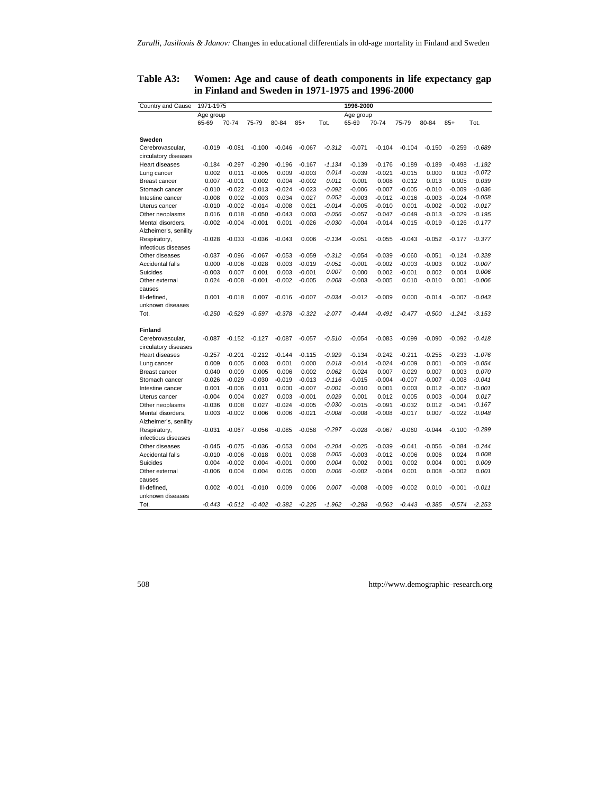| Country and Cause                   | 1971-1975<br>1996-2000 |          |          |          |          |           |          |          |          |          |          |          |  |
|-------------------------------------|------------------------|----------|----------|----------|----------|-----------|----------|----------|----------|----------|----------|----------|--|
|                                     | Age group              |          |          |          |          | Age group |          |          |          |          |          |          |  |
|                                     | 65-69                  | 70-74    | 75-79    | 80-84    | $85+$    | Tot.      | 65-69    | 70-74    | 75-79    | 80-84    | $85+$    | Tot.     |  |
| Sweden                              |                        |          |          |          |          |           |          |          |          |          |          |          |  |
| Cerebrovascular,                    | $-0.019$               | $-0.081$ | $-0.100$ | $-0.046$ | $-0.067$ | $-0.312$  | $-0.071$ | $-0.104$ | $-0.104$ | $-0.150$ | $-0.259$ | $-0.689$ |  |
| circulatory diseases                |                        |          |          |          |          |           |          |          |          |          |          |          |  |
| Heart diseases                      | $-0.184$               | $-0.297$ | $-0.290$ | $-0.196$ | $-0.167$ | $-1.134$  | $-0.139$ | $-0.176$ | $-0.189$ | $-0.189$ | $-0.498$ | $-1.192$ |  |
| Lung cancer                         | 0.002                  | 0.011    | $-0.005$ | 0.009    | $-0.003$ | 0.014     | $-0.039$ | $-0.021$ | $-0.015$ | 0.000    | 0.003    | $-0.072$ |  |
| <b>Breast cancer</b>                | 0.007                  | $-0.001$ | 0.002    | 0.004    | $-0.002$ | 0.011     | 0.001    | 0.008    | 0.012    | 0.013    | 0.005    | 0.039    |  |
| Stomach cancer                      | $-0.010$               | $-0.022$ | $-0.013$ | $-0.024$ | $-0.023$ | $-0.092$  | $-0.006$ | $-0.007$ | $-0.005$ | $-0.010$ | $-0.009$ | $-0.036$ |  |
| Intestine cancer                    | $-0.008$               | 0.002    | $-0.003$ | 0.034    | 0.027    | 0.052     | $-0.003$ | $-0.012$ | $-0.016$ | $-0.003$ | $-0.024$ | $-0.058$ |  |
| Uterus cancer                       | $-0.010$               | $-0.002$ | $-0.014$ | $-0.008$ | 0.021    | $-0.014$  | $-0.005$ | $-0.010$ | 0.001    | $-0.002$ | $-0.002$ | $-0.017$ |  |
| Other neoplasms                     | 0.016                  | 0.018    | $-0.050$ | $-0.043$ | 0.003    | $-0.056$  | $-0.057$ | $-0.047$ | $-0.049$ | $-0.013$ | $-0.029$ | $-0.195$ |  |
| Mental disorders,                   | $-0.002$               | $-0.004$ | $-0.001$ | 0.001    | $-0.026$ | $-0.030$  | $-0.004$ | $-0.014$ | $-0.015$ | $-0.019$ | $-0.126$ | $-0.177$ |  |
| Alzheimer's, senility               |                        |          |          |          |          |           |          |          |          |          |          |          |  |
|                                     | $-0.028$               | $-0.033$ | $-0.036$ | $-0.043$ | 0.006    | $-0.134$  | $-0.051$ | $-0.055$ | $-0.043$ | $-0.052$ | $-0.177$ | $-0.377$ |  |
| Respiratory,<br>infectious diseases |                        |          |          |          |          |           |          |          |          |          |          |          |  |
| Other diseases                      | $-0.037$               | $-0.096$ | $-0.067$ | $-0.053$ | $-0.059$ | $-0.312$  | $-0.054$ | $-0.039$ | $-0.060$ | $-0.051$ | $-0.124$ | $-0.328$ |  |
| Accidental falls                    | 0.000                  | $-0.006$ | $-0.028$ | 0.003    | $-0.019$ | $-0.051$  | $-0.001$ | $-0.002$ | $-0.003$ | $-0.003$ | 0.002    | $-0.007$ |  |
| Suicides                            | $-0.003$               | 0.007    | 0.001    | 0.003    | $-0.001$ | 0.007     | 0.000    | 0.002    | $-0.001$ | 0.002    | 0.004    | 0.006    |  |
| Other external                      | 0.024                  | $-0.008$ | $-0.001$ | $-0.002$ | $-0.005$ | 0.008     | $-0.003$ | $-0.005$ | 0.010    | $-0.010$ | 0.001    | $-0.006$ |  |
|                                     |                        |          |          |          |          |           |          |          |          |          |          |          |  |
| causes<br>Ill-defined.              | 0.001                  | $-0.018$ | 0.007    | $-0.016$ | $-0.007$ | $-0.034$  | $-0.012$ | $-0.009$ | 0.000    | $-0.014$ | $-0.007$ | $-0.043$ |  |
| unknown diseases                    |                        |          |          |          |          |           |          |          |          |          |          |          |  |
| Tot.                                | $-0.250$               | $-0.529$ | $-0.597$ | $-0.378$ | $-0.322$ | $-2.077$  | $-0.444$ | $-0.491$ | $-0.477$ | $-0.500$ | $-1.241$ | $-3.153$ |  |
|                                     |                        |          |          |          |          |           |          |          |          |          |          |          |  |
| <b>Finland</b>                      |                        |          |          |          |          |           |          |          |          |          |          |          |  |
| Cerebrovascular,                    | $-0.087$               | $-0.152$ | $-0.127$ | $-0.087$ | $-0.057$ | $-0.510$  | $-0.054$ | $-0.083$ | $-0.099$ | $-0.090$ | $-0.092$ | $-0.418$ |  |
| circulatory diseases                |                        |          |          |          |          |           |          |          |          |          |          |          |  |
| Heart diseases                      | $-0.257$               | $-0.201$ | $-0.212$ | $-0.144$ | $-0.115$ | $-0.929$  | $-0.134$ | $-0.242$ | $-0.211$ | $-0.255$ | $-0.233$ | $-1.076$ |  |
| Lung cancer                         | 0.009                  | 0.005    | 0.003    | 0.001    | 0.000    | 0.018     | $-0.014$ | $-0.024$ | $-0.009$ | 0.001    | $-0.009$ | $-0.054$ |  |
| <b>Breast cancer</b>                | 0.040                  | 0.009    | 0.005    | 0.006    | 0.002    | 0.062     | 0.024    | 0.007    | 0.029    | 0.007    | 0.003    | 0.070    |  |
| Stomach cancer                      | $-0.026$               | $-0.029$ | $-0.030$ | $-0.019$ | $-0.013$ | $-0.116$  | $-0.015$ | $-0.004$ | $-0.007$ | $-0.007$ | $-0.008$ | $-0.041$ |  |
| Intestine cancer                    | 0.001                  | $-0.006$ | 0.011    | 0.000    | $-0.007$ | $-0.001$  | $-0.010$ | 0.001    | 0.003    | 0.012    | $-0.007$ | $-0.001$ |  |
| Uterus cancer                       | $-0.004$               | 0.004    | 0.027    | 0.003    | $-0.001$ | 0.029     | 0.001    | 0.012    | 0.005    | 0.003    | $-0.004$ | 0.017    |  |
| Other neoplasms                     | $-0.036$               | 0.008    | 0.027    | $-0.024$ | $-0.005$ | $-0.030$  | $-0.015$ | $-0.091$ | $-0.032$ | 0.012    | $-0.041$ | $-0.167$ |  |
| Mental disorders,                   | 0.003                  | $-0.002$ | 0.006    | 0.006    | $-0.021$ | $-0.008$  | $-0.008$ | $-0.008$ | $-0.017$ | 0.007    | $-0.022$ | $-0.048$ |  |
| Alzheimer's, senility               |                        |          |          |          |          |           |          |          |          |          |          |          |  |
| Respiratory,                        | $-0.031$               | $-0.067$ | $-0.056$ | $-0.085$ | $-0.058$ | $-0.297$  | $-0.028$ | $-0.067$ | $-0.060$ | $-0.044$ | $-0.100$ | $-0.299$ |  |
| infectious diseases                 |                        |          |          |          |          |           |          |          |          |          |          |          |  |
| Other diseases                      | $-0.045$               | $-0.075$ | $-0.036$ | $-0.053$ | 0.004    | $-0.204$  | $-0.025$ | $-0.039$ | $-0.041$ | $-0.056$ | $-0.084$ | $-0.244$ |  |
| Accidental falls                    | $-0.010$               | $-0.006$ | $-0.018$ | 0.001    | 0.038    | 0.005     | $-0.003$ | $-0.012$ | $-0.006$ | 0.006    | 0.024    | 0.008    |  |
| Suicides                            | 0.004                  | $-0.002$ | 0.004    | $-0.001$ | 0.000    | 0.004     | 0.002    | 0.001    | 0.002    | 0.004    | 0.001    | 0.009    |  |
| Other external                      | $-0.006$               | 0.004    | 0.004    | 0.005    | 0.000    | 0.006     | $-0.002$ | $-0.004$ | 0.001    | 0.008    | $-0.002$ | 0.001    |  |
| causes                              |                        |          |          |          |          |           |          |          |          |          |          |          |  |
| III-defined,                        | 0.002                  | $-0.001$ | $-0.010$ | 0.009    | 0.006    | 0.007     | $-0.008$ | $-0.009$ | $-0.002$ | 0.010    | $-0.001$ | $-0.011$ |  |
| unknown diseases                    |                        |          |          |          |          |           |          |          |          |          |          |          |  |
| Tot.                                | $-0.443$               | $-0.512$ | $-0.402$ | $-0.382$ | $-0.225$ | $-1.962$  | $-0.288$ | $-0.563$ | $-0.443$ | $-0.385$ | $-0.574$ | $-2.253$ |  |

## **Table A3: Women: Age and cause of death components in life expectancy gap in Finland and Sweden in 1971-1975 and 1996-2000**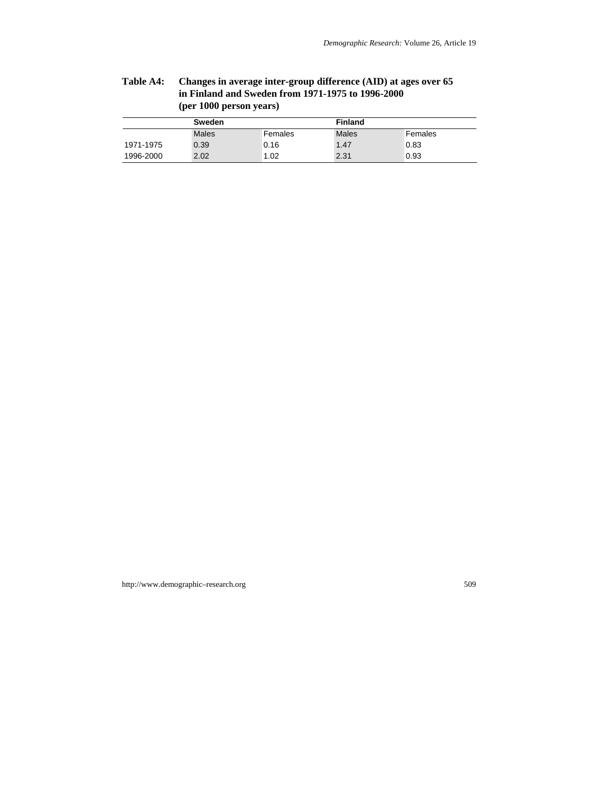# **Table A4: Changes in average inter-group difference (AID) at ages over 65 in Finland and Sweden from 1971-1975 to 1996-2000 (per 1000 person years)**

|           | Sweden |         | <b>Finland</b> |         |  |  |  |
|-----------|--------|---------|----------------|---------|--|--|--|
|           | Males  | Females | Males          | Females |  |  |  |
| 1971-1975 | 0.39   | 0.16    | 1.47           | 0.83    |  |  |  |
| 1996-2000 | 2.02   | 1.02    | 2.31           | 0.93    |  |  |  |